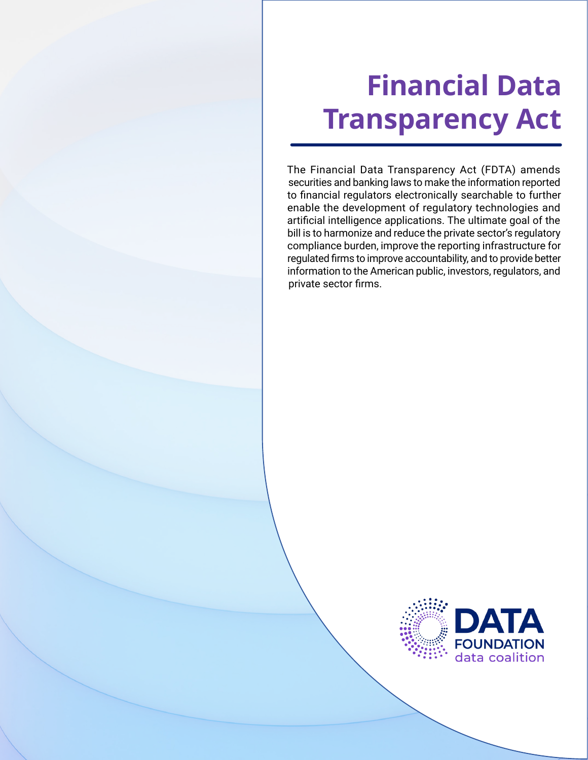# **Financial Data Transparency Act**

The Financial Data Transparency Act (FDTA) amends securities and banking laws to make the information reported to financial regulators electronically searchable to further enable the development of regulatory technologies and artificial intelligence applications. The ultimate goal of the bill is to harmonize and reduce the private sector's regulatory compliance burden, improve the reporting infrastructure for regulated firms to improve accountability, and to provide better information to the American public, investors, regulators, and private sector firms.